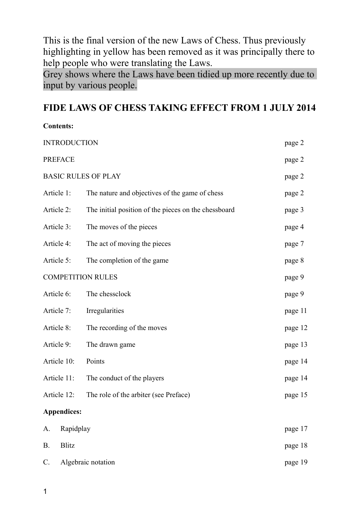This is the final version of the new Laws of Chess. Thus previously highlighting in yellow has been removed as it was principally there to help people who were translating the Laws.

Grey shows where the Laws have been tidied up more recently due to input by various people.

# **FIDE LAWS OF CHESS TAKING EFFECT FROM 1 JULY 2014**

# **Contents:**

| <b>INTRODUCTION</b>         |                    |                                                      | page 2  |
|-----------------------------|--------------------|------------------------------------------------------|---------|
| <b>PREFACE</b>              |                    |                                                      | page 2  |
| <b>BASIC RULES OF PLAY</b>  |                    |                                                      | page 2  |
|                             | Article 1:         | The nature and objectives of the game of chess       | page 2  |
|                             | Article 2:         | The initial position of the pieces on the chessboard | page 3  |
|                             | Article 3:         | The moves of the pieces                              | page 4  |
|                             | Article 4:         | The act of moving the pieces                         | page 7  |
|                             | Article 5:         | The completion of the game                           | page 8  |
| <b>COMPETITION RULES</b>    |                    |                                                      | page 9  |
|                             | Article 6:         | The chessclock                                       | page 9  |
|                             | Article 7:         | Irregularities                                       | page 11 |
| Article 8:                  |                    | The recording of the moves                           | page 12 |
| Article 9:                  |                    | The drawn game                                       | page 13 |
|                             | Article 10:        | Points                                               | page 14 |
|                             | Article 11:        | The conduct of the players                           | page 14 |
|                             | Article 12:        | The role of the arbiter (see Preface)                | page 15 |
|                             | <b>Appendices:</b> |                                                      |         |
| A.                          | Rapidplay          |                                                      | page 17 |
| <b>B.</b>                   | <b>Blitz</b>       |                                                      | page 18 |
| Algebraic notation<br>$C$ . |                    | page 19                                              |         |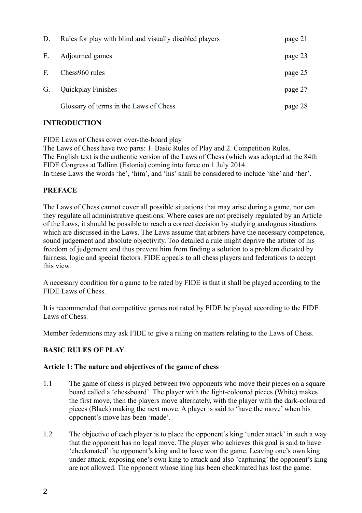| D. | Rules for play with blind and visually disabled players | page 21 |
|----|---------------------------------------------------------|---------|
| Ε. | Adjourned games                                         | page 23 |
| F. | Chess960 rules                                          | page 25 |
| G. | <b>Quickplay Finishes</b>                               | page 27 |
|    | Glossary of terms in the Laws of Chess                  | page 28 |

# **INTRODUCTION**

FIDE Laws of Chess cover over-the-board play.

The Laws of Chess have two parts: 1. Basic Rules of Play and 2. Competition Rules. The English text is the authentic version of the Laws of Chess (which was adopted at the 84th FIDE Congress at Tallinn (Estonia) coming into force on 1 July 2014.

In these Laws the words 'he', 'him', and 'his' shall be considered to include 'she' and 'her'.

# **PREFACE**

The Laws of Chess cannot cover all possible situations that may arise during a game, nor can they regulate all administrative questions. Where cases are not precisely regulated by an Article of the Laws, it should be possible to reach a correct decision by studying analogous situations which are discussed in the Laws. The Laws assume that arbiters have the necessary competence, sound judgement and absolute objectivity. Too detailed a rule might deprive the arbiter of his freedom of judgement and thus prevent him from finding a solution to a problem dictated by fairness, logic and special factors. FIDE appeals to all chess players and federations to accept this view.

A necessary condition for a game to be rated by FIDE is that it shall be played according to the FIDE Laws of Chess.

It is recommended that competitive games not rated by FIDE be played according to the FIDE Laws of Chess.

Member federations may ask FIDE to give a ruling on matters relating to the Laws of Chess.

# **BASIC RULES OF PLAY**

# **Article 1: The nature and objectives of the game of chess**

- 1.1 The game of chess is played between two opponents who move their pieces on a square board called a 'chessboard'. The player with the light-coloured pieces (White) makes the first move, then the players move alternately, with the player with the dark-coloured pieces (Black) making the next move. A player is said to 'have the move' when his opponent's move has been 'made'.
- 1.2 The objective of each player is to place the opponent's king 'under attack' in such a way that the opponent has no legal move. The player who achieves this goal is said to have 'checkmated' the opponent's king and to have won the game. Leaving one's own king under attack, exposing one's own king to attack and also 'capturing' the opponent's king are not allowed. The opponent whose king has been checkmated has lost the game.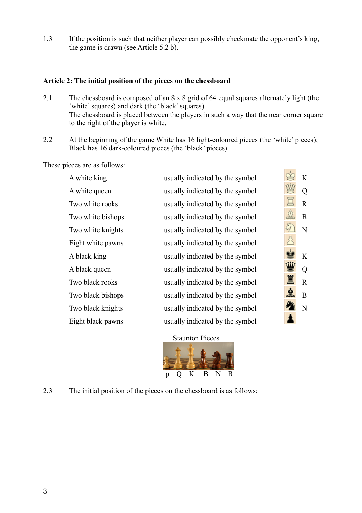1.3 If the position is such that neither player can possibly checkmate the opponent's king, the game is drawn (see Article 5.2 b).

#### **Article 2: The initial position of the pieces on the chessboard**

- 2.1 The chessboard is composed of an 8 x 8 grid of 64 equal squares alternately light (the 'white' squares) and dark (the 'black' squares). The chessboard is placed between the players in such a way that the near corner square to the right of the player is white.
- 2.2 At the beginning of the game White has 16 light-coloured pieces (the 'white' pieces); Black has 16 dark-coloured pieces (the 'black' pieces).

These pieces are as follows:

| A white king      | usually indicated by the symbol | K              |
|-------------------|---------------------------------|----------------|
| A white queen     | usually indicated by the symbol | Q              |
| Two white rooks   | usually indicated by the symbol | $\mathbf R$    |
| Two white bishops | usually indicated by the symbol | B              |
| Two white knights | usually indicated by the symbol | N              |
| Eight white pawns | usually indicated by the symbol |                |
| A black king      | usually indicated by the symbol | K              |
| A black queen     | usually indicated by the symbol | Q              |
| Two black rooks   | usually indicated by the symbol | $\overline{R}$ |
| Two black bishops | usually indicated by the symbol | B              |
| Two black knights | usually indicated by the symbol | N              |
| Eight black pawns | usually indicated by the symbol |                |
|                   |                                 |                |





2.3 The initial position of the pieces on the chessboard is as follows: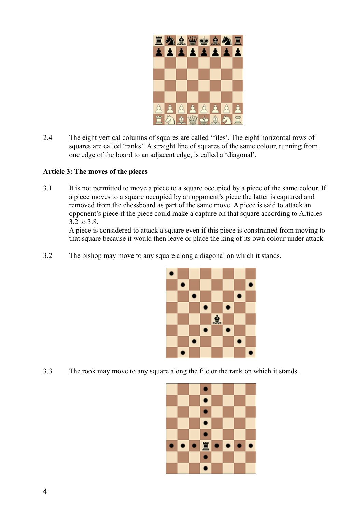

2.4 The eight vertical columns of squares are called 'files'. The eight horizontal rows of squares are called 'ranks'. A straight line of squares of the same colour, running from one edge of the board to an adjacent edge, is called a 'diagonal'.

#### **Article 3: The moves of the pieces**

3.1 It is not permitted to move a piece to a square occupied by a piece of the same colour. If a piece moves to a square occupied by an opponent's piece the latter is captured and removed from the chessboard as part of the same move. A piece is said to attack an opponent's piece if the piece could make a capture on that square according to Articles 3.2 to 3.8.

A piece is considered to attack a square even if this piece is constrained from moving to that square because it would then leave or place the king of its own colour under attack.

3.2 The bishop may move to any square along a diagonal on which it stands.



3.3 The rook may move to any square along the file or the rank on which it stands.

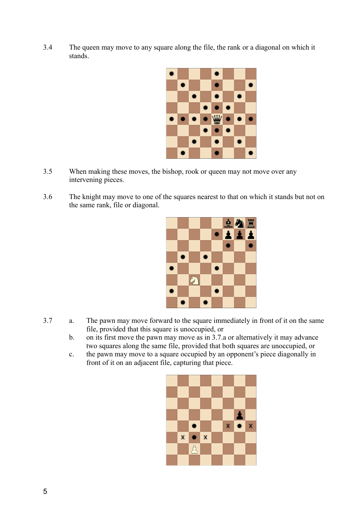3.4 The queen may move to any square along the file, the rank or a diagonal on which it stands.



- 3.5 When making these moves, the bishop, rook or queen may not move over any intervening pieces.
- 3.6 The knight may move to one of the squares nearest to that on which it stands but not on the same rank, file or diagonal.



- 3.7 a. The pawn may move forward to the square immediately in front of it on the same file, provided that this square is unoccupied, or
	- b. on its first move the pawn may move as in 3.7.a or alternatively it may advance two squares along the same file, provided that both squares are unoccupied, or
	- c. the pawn may move to a square occupied by an opponent's piece diagonally in front of it on an adjacent file, capturing that piece.

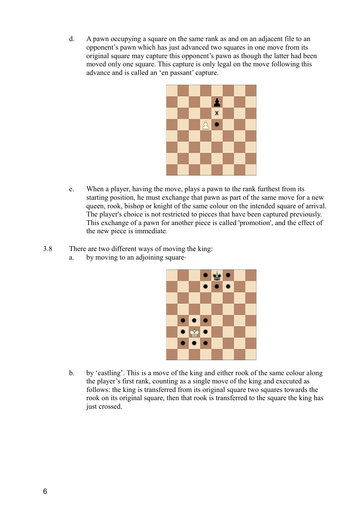d. A pawn occupying a square on the same rank as and on an adjacent file to an opponent's pawn which has just advanced two squares in one move from its original square may capture this opponent's pawn as though the latter had been moved only one square. This capture is only legal on the move following this advance and is called an 'en passant' capture.



- e. When a player, having the move, plays a pawn to the rank furthest from its starting position, he must exchange that pawn as part of the same move for a new queen, rook, bishop or knight of the same colour on the intended square of arrival. The player's choice is not restricted to pieces that have been captured previously. This exchange of a pawn for another piece is called 'promotion', and the effect of the new piece is immediate*.*
- 3.8 There are two different ways of moving the king:
	- a. by moving to an adioining square-



b. by 'castling'. This is a move of the king and either rook of the same colour along the player's first rank, counting as a single move of the king and executed as follows: the king is transferred from its original square two squares towards the rook on its original square, then that rook is transferred to the square the king has just crossed.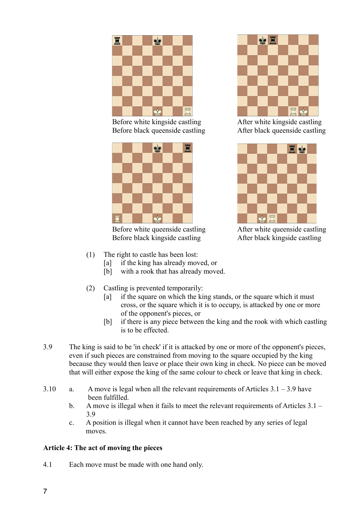

Before white kingside castling After white kingside castling Before black queenside castling After black queenside castling



Before white queenside castling After white queenside castling Before black kingside castling After black kingside castling





- (1) The right to castle has been lost:
	- [a] if the king has already moved, or
		- [b] with a rook that has already moved.
- (2) Castling is prevented temporarily:
	- [a] if the square on which the king stands, or the square which it must cross, or the square which it is to occupy, is attacked by one or more of the opponent's pieces, or
	- [b] if there is any piece between the king and the rook with which castling is to be effected.
- 3.9 The king is said to be 'in check' if it is attacked by one or more of the opponent's pieces, even if such pieces are constrained from moving to the square occupied by the king because they would then leave or place their own king in check. No piece can be moved that will either expose the king of the same colour to check or leave that king in check.
- 3.10 a. A move is legal when all the relevant requirements of Articles 3.1 3.9 have been fulfilled.
	- b. A move is illegal when it fails to meet the relevant requirements of Articles 3.1 3.9
	- c. A position is illegal when it cannot have been reached by any series of legal moves.

# **Article 4: The act of moving the pieces**

4.1 Each move must be made with one hand only.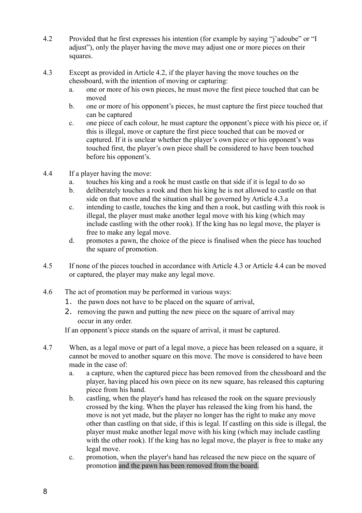- 4.2 Provided that he first expresses his intention (for example by saying "j'adoube" or "I adjust"), only the player having the move may adjust one or more pieces on their squares.
- 4.3 Except as provided in Article 4.2, if the player having the move touches on the chessboard, with the intention of moving or capturing:
	- a. one or more of his own pieces, he must move the first piece touched that can be moved
	- b. one or more of his opponent's pieces, he must capture the first piece touched that can be captured
	- c. one piece of each colour, he must capture the opponent's piece with his piece or, if this is illegal, move or capture the first piece touched that can be moved or captured. If it is unclear whether the player's own piece or his opponent's was touched first, the player's own piece shall be considered to have been touched before his opponent's.
- 4.4 If a player having the move:
	- a. touches his king and a rook he must castle on that side if it is legal to do so
	- b. deliberately touches a rook and then his king he is not allowed to castle on that side on that move and the situation shall be governed by Article 4.3.a
	- c. intending to castle, touches the king and then a rook, but castling with this rook is illegal, the player must make another legal move with his king (which may include castling with the other rook). If the king has no legal move, the player is free to make any legal move.
	- d. promotes a pawn, the choice of the piece is finalised when the piece has touched the square of promotion.
- 4.5 If none of the pieces touched in accordance with Article 4.3 or Article 4.4 can be moved or captured, the player may make any legal move.
- 4.6 The act of promotion may be performed in various ways:
	- 1. the pawn does not have to be placed on the square of arrival,
	- 2. removing the pawn and putting the new piece on the square of arrival may occur in any order.

If an opponent's piece stands on the square of arrival, it must be captured.

- 4.7 When, as a legal move or part of a legal move, a piece has been released on a square, it cannot be moved to another square on this move. The move is considered to have been made in the case of:
	- a. a capture, when the captured piece has been removed from the chessboard and the player, having placed his own piece on its new square, has released this capturing piece from his hand.
	- b. castling, when the player's hand has released the rook on the square previously crossed by the king. When the player has released the king from his hand, the move is not yet made, but the player no longer has the right to make any move other than castling on that side, if this is legal. If castling on this side is illegal, the player must make another legal move with his king (which may include castling with the other rook). If the king has no legal move, the player is free to make any legal move.
	- c. promotion, when the player's hand has released the new piece on the square of promotion and the pawn has been removed from the board.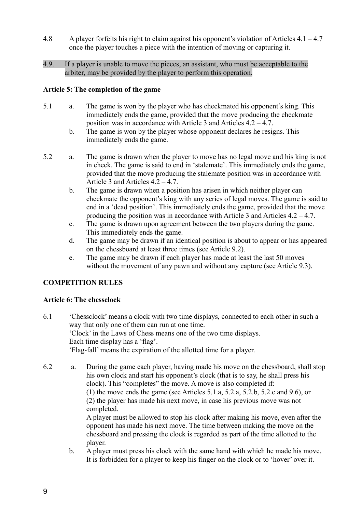- 4.8 A player forfeits his right to claim against his opponent's violation of Articles 4.1 4.7 once the player touches a piece with the intention of moving or capturing it.
- 4.9. If a player is unable to move the pieces, an assistant, who must be acceptable to the arbiter, may be provided by the player to perform this operation.

#### **Article 5: The completion of the game**

- 5.1 a. The game is won by the player who has checkmated his opponent's king. This immediately ends the game, provided that the move producing the checkmate position was in accordance with Article 3 and Articles 4.2 – 4.7.
	- b. The game is won by the player whose opponent declares he resigns. This immediately ends the game.
- 5.2 a. The game is drawn when the player to move has no legal move and his king is not in check. The game is said to end in 'stalemate'. This immediately ends the game, provided that the move producing the stalemate position was in accordance with Article 3 and Articles 4.2 – 4.7.
	- b. The game is drawn when a position has arisen in which neither player can checkmate the opponent's king with any series of legal moves. The game is said to end in a 'dead position'. This immediately ends the game, provided that the move producing the position was in accordance with Article 3 and Articles  $4.2 - 4.7$ .
	- c. The game is drawn upon agreement between the two players during the game. This immediately ends the game.
	- d. The game may be drawn if an identical position is about to appear or has appeared on the chessboard at least three times (see Article 9.2).
	- e. The game may be drawn if each player has made at least the last 50 moves without the movement of any pawn and without any capture (see Article 9.3).

# **COMPETITION RULES**

# **Article 6: The chessclock**

- 6.1 'Chessclock' means a clock with two time displays, connected to each other in such a way that only one of them can run at one time. 'Clock' in the Laws of Chess means one of the two time displays. Each time display has a 'flag'. 'Flag-fall' means the expiration of the allotted time for a player.
- 6.2 a. During the game each player, having made his move on the chessboard, shall stop his own clock and start his opponent's clock (that is to say, he shall press his clock). This "completes" the move. A move is also completed if: (1) the move ends the game (see Articles 5.1.a, 5.2.a, 5.2.b, 5.2.c and 9.6), or (2) the player has made his next move, in case his previous move was not completed. A player must be allowed to stop his clock after making his move, even after the opponent has made his next move. The time between making the move on the chessboard and pressing the clock is regarded as part of the time allotted to the player.
	- b. A player must press his clock with the same hand with which he made his move. It is forbidden for a player to keep his finger on the clock or to 'hover' over it.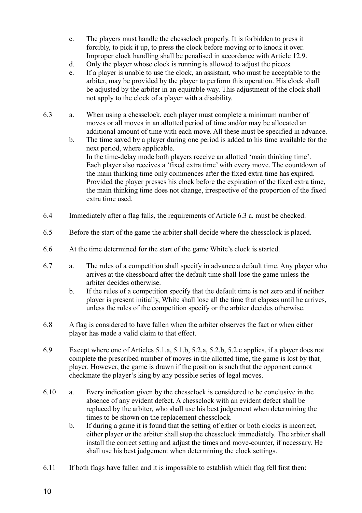- c. The players must handle the chessclock properly. It is forbidden to press it forcibly, to pick it up, to press the clock before moving or to knock it over. Improper clock handling shall be penalised in accordance with Article 12.9.
- d. Only the player whose clock is running is allowed to adjust the pieces.
- e. If a player is unable to use the clock, an assistant, who must be acceptable to the arbiter, may be provided by the player to perform this operation. His clock shall be adjusted by the arbiter in an equitable way. This adjustment of the clock shall not apply to the clock of a player with a disability.
- 6.3 a. When using a chessclock, each player must complete a minimum number of moves or all moves in an allotted period of time and/or may be allocated an additional amount of time with each move. All these must be specified in advance.
	- b. The time saved by a player during one period is added to his time available for the next period, where applicable. In the time-delay mode both players receive an allotted 'main thinking time'. Each player also receives a 'fixed extra time' with every move. The countdown of the main thinking time only commences after the fixed extra time has expired. Provided the player presses his clock before the expiration of the fixed extra time, the main thinking time does not change, irrespective of the proportion of the fixed extra time used.
- 6.4 Immediately after a flag falls, the requirements of Article 6.3 a. must be checked.
- 6.5 Before the start of the game the arbiter shall decide where the chessclock is placed.
- 6.6 At the time determined for the start of the game White's clock is started.
- 6.7 a. The rules of a competition shall specify in advance a default time. Any player who arrives at the chessboard after the default time shall lose the game unless the arbiter decides otherwise.
	- b. If the rules of a competition specify that the default time is not zero and if neither player is present initially, White shall lose all the time that elapses until he arrives, unless the rules of the competition specify or the arbiter decides otherwise.
- 6.8 A flag is considered to have fallen when the arbiter observes the fact or when either player has made a valid claim to that effect.
- 6.9 Except where one of Articles 5.1.a, 5.1.b, 5.2.a, 5.2.b, 5.2.c applies, if a player does not complete the prescribed number of moves in the allotted time, the game is lost by that player. However, the game is drawn if the position is such that the opponent cannot checkmate the player's king by any possible series of legal moves.
- 6.10 a. Every indication given by the chessclock is considered to be conclusive in the absence of any evident defect. A chessclock with an evident defect shall be replaced by the arbiter, who shall use his best judgement when determining the times to be shown on the replacement chessclock.
	- b. If during a game it is found that the setting of either or both clocks is incorrect, either player or the arbiter shall stop the chessclock immediately. The arbiter shall install the correct setting and adjust the times and move-counter, if necessary. He shall use his best judgement when determining the clock settings.
- 6.11 If both flags have fallen and it is impossible to establish which flag fell first then: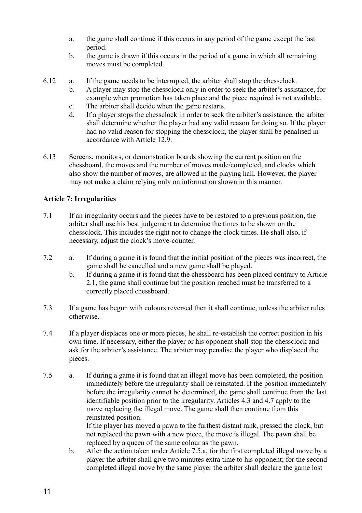- a. the game shall continue if this occurs in any period of the game except the last period.
- b. the game is drawn if this occurs in the period of a game in which all remaining moves must be completed.
- 6.12 a. If the game needs to be interrupted, the arbiter shall stop the chessclock.
	- b. A player may stop the chessclock only in order to seek the arbiter's assistance, for example when promotion has taken place and the piece required is not available.
	- c. The arbiter shall decide when the game restarts.
	- d. If a player stops the chessclock in order to seek the arbiter's assistance, the arbiter shall determine whether the player had any valid reason for doing so. If the player had no valid reason for stopping the chessclock, the player shall be penalised in accordance with Article 12.9.
- 6.13 Screens, monitors, or demonstration boards showing the current position on the chessboard, the moves and the number of moves made/completed, and clocks which also show the number of moves, are allowed in the playing hall. However, the player may not make a claim relying only on information shown in this manner.

# **Article 7: Irregularities**

- 7.1 If an irregularity occurs and the pieces have to be restored to a previous position, the arbiter shall use his best judgement to determine the times to be shown on the chessclock. This includes the right not to change the clock times. He shall also, if necessary, adjust the clock's move-counter.
- 7.2 a. If during a game it is found that the initial position of the pieces was incorrect, the game shall be cancelled and a new game shall be played.
	- b. If during a game it is found that the chessboard has been placed contrary to Article 2.1, the game shall continue but the position reached must be transferred to a correctly placed chessboard.
- 7.3 If a game has begun with colours reversed then it shall continue, unless the arbiter rules otherwise.
- 7.4 If a player displaces one or more pieces, he shall re-establish the correct position in his own time. If necessary, either the player or his opponent shall stop the chessclock and ask for the arbiter's assistance. The arbiter may penalise the player who displaced the pieces.
- 7.5 a. If during a game it is found that an illegal move has been completed, the position immediately before the irregularity shall be reinstated. If the position immediately before the irregularity cannot be determined, the game shall continue from the last identifiable position prior to the irregularity. Articles 4.3 and 4.7 apply to the move replacing the illegal move. The game shall then continue from this reinstated position.

If the player has moved a pawn to the furthest distant rank, pressed the clock, but not replaced the pawn with a new piece, the move is illegal. The pawn shall be replaced by a queen of the same colour as the pawn.

b. After the action taken under Article 7.5.a, for the first completed illegal move by a player the arbiter shall give two minutes extra time to his opponent; for the second completed illegal move by the same player the arbiter shall declare the game lost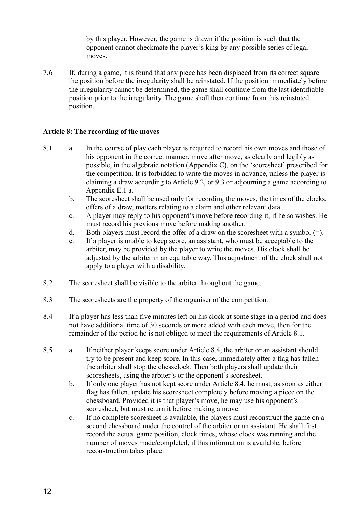by this player. However, the game is drawn if the position is such that the opponent cannot checkmate the player's king by any possible series of legal moves.

7.6 If, during a game, it is found that any piece has been displaced from its correct square the position before the irregularity shall be reinstated. If the position immediately before the irregularity cannot be determined, the game shall continue from the last identifiable position prior to the irregularity. The game shall then continue from this reinstated position.

#### **Article 8: The recording of the moves**

- 8.1 a. In the course of play each player is required to record his own moves and those of his opponent in the correct manner, move after move, as clearly and legibly as possible, in the algebraic notation (Appendix C), on the 'scoresheet' prescribed for the competition. It is forbidden to write the moves in advance, unless the player is claiming a draw according to Article 9.2, or 9.3 or adjourning a game according to Appendix E.1 a.
	- b. The scoresheet shall be used only for recording the moves, the times of the clocks, offers of a draw, matters relating to a claim and other relevant data.
	- c. A player may reply to his opponent's move before recording it, if he so wishes. He must record his previous move before making another.
	- d. Both players must record the offer of a draw on the scoresheet with a symbol  $(=)$ .
	- e. If a player is unable to keep score, an assistant, who must be acceptable to the arbiter, may be provided by the player to write the moves. His clock shall be adjusted by the arbiter in an equitable way. This adjustment of the clock shall not apply to a player with a disability.
- 8.2 The scoresheet shall be visible to the arbiter throughout the game.
- 8.3 The scoresheets are the property of the organiser of the competition.
- 8.4 If a player has less than five minutes left on his clock at some stage in a period and does not have additional time of 30 seconds or more added with each move, then for the remainder of the period he is not obliged to meet the requirements of Article 8.1.
- 8.5 a. If neither player keeps score under Article 8.4, the arbiter or an assistant should try to be present and keep score. In this case, immediately after a flag has fallen the arbiter shall stop the chessclock. Then both players shall update their scoresheets, using the arbiter's or the opponent's scoresheet.
	- b. If only one player has not kept score under Article 8.4, he must, as soon as either flag has fallen, update his scoresheet completely before moving a piece on the chessboard. Provided it is that player's move, he may use his opponent's scoresheet, but must return it before making a move.
	- c. If no complete scoresheet is available, the players must reconstruct the game on a second chessboard under the control of the arbiter or an assistant. He shall first record the actual game position, clock times, whose clock was running and the number of moves made/completed, if this information is available, before reconstruction takes place.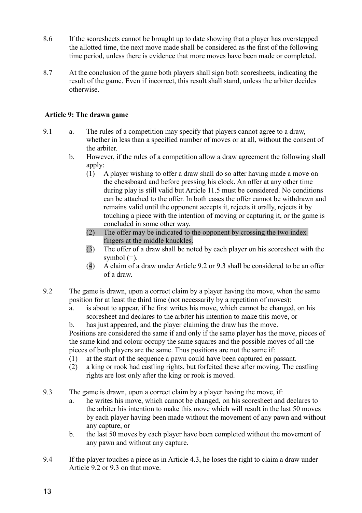- 8.6 If the scoresheets cannot be brought up to date showing that a player has overstepped the allotted time, the next move made shall be considered as the first of the following time period, unless there is evidence that more moves have been made or completed.
- 8.7 At the conclusion of the game both players shall sign both scoresheets, indicating the result of the game. Even if incorrect, this result shall stand, unless the arbiter decides otherwise.

# **Article 9: The drawn game**

- 9.1 a. The rules of a competition may specify that players cannot agree to a draw, whether in less than a specified number of moves or at all, without the consent of the arbiter.
	- b. However, if the rules of a competition allow a draw agreement the following shall apply:
		- (1) A player wishing to offer a draw shall do so after having made a move on the chessboard and before pressing his clock. An offer at any other time during play is still valid but Article 11.5 must be considered. No conditions can be attached to the offer. In both cases the offer cannot be withdrawn and remains valid until the opponent accepts it, rejects it orally, rejects it by touching a piece with the intention of moving or capturing it, or the game is concluded in some other way.
		- (2) The offer may be indicated to the opponent by crossing the two index fingers at the middle knuckles.
		- (3) The offer of a draw shall be noted by each player on his scoresheet with the symbol  $(=)$ .
		- (4) A claim of a draw under Article 9.2 or 9.3 shall be considered to be an offer of a draw.
- 9.2 The game is drawn, upon a correct claim by a player having the move, when the same position for at least the third time (not necessarily by a repetition of moves):
	- a. is about to appear, if he first writes his move, which cannot be changed, on his scoresheet and declares to the arbiter his intention to make this move, or

b. has just appeared, and the player claiming the draw has the move. Positions are considered the same if and only if the same player has the move, pieces of the same kind and colour occupy the same squares and the possible moves of all the pieces of both players are the same. Thus positions are not the same if:

- (1) at the start of the sequence a pawn could have been captured en passant.
- (2) a king or rook had castling rights, but forfeited these after moving. The castling rights are lost only after the king or rook is moved.
- 9.3 The game is drawn, upon a correct claim by a player having the move, if:
	- a. he writes his move, which cannot be changed, on his scoresheet and declares to the arbiter his intention to make this move which will result in the last 50 moves by each player having been made without the movement of any pawn and without any capture, or
	- b. the last 50 moves by each player have been completed without the movement of any pawn and without any capture.
- 9.4 If the player touches a piece as in Article 4.3, he loses the right to claim a draw under Article 9.2 or 9.3 on that move.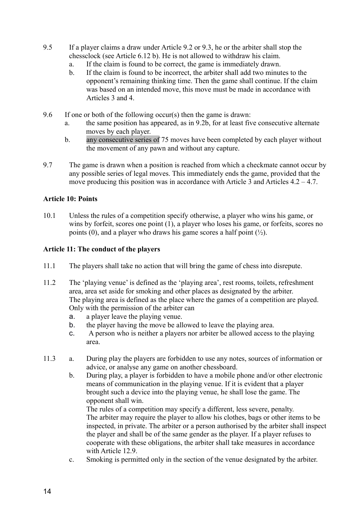- 9.5 If a player claims a draw under Article 9.2 or 9.3, he or the arbiter shall stop the chessclock (see Article 6.12 b). He is not allowed to withdraw his claim.
	- a. If the claim is found to be correct, the game is immediately drawn.
	- b. If the claim is found to be incorrect, the arbiter shall add two minutes to the opponent's remaining thinking time. Then the game shall continue. If the claim was based on an intended move, this move must be made in accordance with Articles 3 and 4.
- 9.6 If one or both of the following occur(s) then the game is drawn:
	- a. the same position has appeared, as in 9.2b, for at least five consecutive alternate moves by each player.
	- b. any consecutive series of 75 moves have been completed by each player without the movement of any pawn and without any capture.
- 9.7 The game is drawn when a position is reached from which a checkmate cannot occur by any possible series of legal moves. This immediately ends the game, provided that the move producing this position was in accordance with Article 3 and Articles  $4.2 - 4.7$ .

# **Article 10: Points**

10.1 Unless the rules of a competition specify otherwise, a player who wins his game, or wins by forfeit, scores one point (1), a player who loses his game, or forfeits, scores no points (0), and a player who draws his game scores a half point  $(\frac{1}{2})$ .

# **Article 11: The conduct of the players**

- 11.1 The players shall take no action that will bring the game of chess into disrepute.
- 11.2 The 'playing venue' is defined as the 'playing area', rest rooms, toilets, refreshment area, area set aside for smoking and other places as designated by the arbiter. The playing area is defined as the place where the games of a competition are played. Only with the permission of the arbiter can
	- a. a player leave the playing venue.
	- b. the player having the move be allowed to leave the playing area.
	- c. A person who is neither a players nor arbiter be allowed access to the playing area.
- 11.3 a. During play the players are forbidden to use any notes, sources of information or advice, or analyse any game on another chessboard.
	- b. During play, a player is forbidden to have a mobile phone and/or other electronic means of communication in the playing venue. If it is evident that a player brought such a device into the playing venue, he shall lose the game. The opponent shall win.

The rules of a competition may specify a different, less severe, penalty. The arbiter may require the player to allow his clothes, bags or other items to be inspected, in private. The arbiter or a person authorised by the arbiter shall inspect the player and shall be of the same gender as the player. If a player refuses to cooperate with these obligations, the arbiter shall take measures in accordance with Article 12.9.

c. Smoking is permitted only in the section of the venue designated by the arbiter.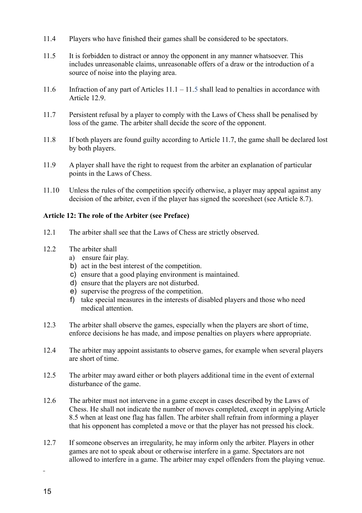- 11.4 Players who have finished their games shall be considered to be spectators.
- 11.5 It is forbidden to distract or annoy the opponent in any manner whatsoever. This includes unreasonable claims, unreasonable offers of a draw or the introduction of a source of noise into the playing area.
- 11.6 Infraction of any part of Articles 11.1 11.5 shall lead to penalties in accordance with Article 12.9.
- 11.7 Persistent refusal by a player to comply with the Laws of Chess shall be penalised by loss of the game. The arbiter shall decide the score of the opponent.
- 11.8 If both players are found guilty according to Article 11.7, the game shall be declared lost by both players.
- 11.9 A player shall have the right to request from the arbiter an explanation of particular points in the Laws of Chess.
- 11.10 Unless the rules of the competition specify otherwise, a player may appeal against any decision of the arbiter, even if the player has signed the scoresheet (see Article 8.7).

# **Article 12: The role of the Arbiter (see Preface)**

- 12.1 The arbiter shall see that the Laws of Chess are strictly observed.
- 12.2 The arbiter shall
	- a) ensure fair play.
	- b) act in the best interest of the competition.
	- c) ensure that a good playing environment is maintained.
	- d) ensure that the players are not disturbed.
	- e) supervise the progress of the competition.
	- f) take special measures in the interests of disabled players and those who need medical attention.
- 12.3 The arbiter shall observe the games, especially when the players are short of time, enforce decisions he has made, and impose penalties on players where appropriate.
- 12.4 The arbiter may appoint assistants to observe games, for example when several players are short of time.
- 12.5 The arbiter may award either or both players additional time in the event of external disturbance of the game.
- 12.6 The arbiter must not intervene in a game except in cases described by the Laws of Chess. He shall not indicate the number of moves completed, except in applying Article 8.5 when at least one flag has fallen. The arbiter shall refrain from informing a player that his opponent has completed a move or that the player has not pressed his clock.
- 12.7 If someone observes an irregularity, he may inform only the arbiter. Players in other games are not to speak about or otherwise interfere in a game. Spectators are not allowed to interfere in a game. The arbiter may expel offenders from the playing venue.

 $\overline{a}$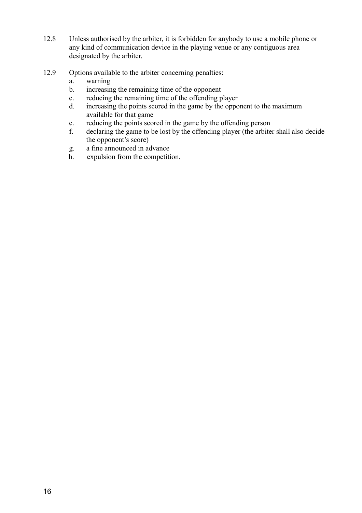- 12.8 Unless authorised by the arbiter, it is forbidden for anybody to use a mobile phone or any kind of communication device in the playing venue or any contiguous area designated by the arbiter.
- 12.9 Options available to the arbiter concerning penalties:
	- a. warning
	- b. increasing the remaining time of the opponent
	- c. reducing the remaining time of the offending player
	- d. increasing the points scored in the game by the opponent to the maximum available for that game
	- e. reducing the points scored in the game by the offending person
	- f. declaring the game to be lost by the offending player (the arbiter shall also decide the opponent's score)
	- g. a fine announced in advance
	- h. expulsion from the competition.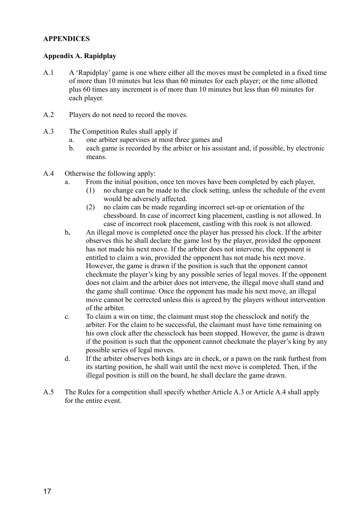#### **APPENDICES**

# **Appendix A. Rapidplay**

- A.1 A 'Rapidplay' game is one where either all the moves must be completed in a fixed time of more than 10 minutes but less than 60 minutes for each player; or the time allotted plus 60 times any increment is of more than 10 minutes but less than 60 minutes for each player.
- A.2 Players do not need to record the moves.
- A.3 The Competition Rules shall apply if
	- a. one arbiter supervises at most three games and
	- b. each game is recorded by the arbiter or his assistant and, if possible, by electronic means.
- A.4 Otherwise the following apply:
	- a. From the initial position, once ten moves have been completed by each player,
		- (1) no change can be made to the clock setting, unless the schedule of the event would be adversely affected.
		- (2) no claim can be made regarding incorrect set-up or orientation of the chessboard. In case of incorrect king placement, castling is not allowed. In case of incorrect rook placement, castling with this rook is not allowed.
	- b**.** An illegal move is completed once the player has pressed his clock. If the arbiter observes this he shall declare the game lost by the player, provided the opponent has not made his next move. If the arbiter does not intervene, the opponent is entitled to claim a win, provided the opponent has not made his next move. However, the game is drawn if the position is such that the opponent cannot checkmate the player's king by any possible series of legal moves. If the opponent does not claim and the arbiter does not intervene, the illegal move shall stand and the game shall continue. Once the opponent has made his next move, an illegal move cannot be corrected unless this is agreed by the players without intervention of the arbiter.
	- c. To claim a win on time, the claimant must stop the chessclock and notify the arbiter. For the claim to be successful, the claimant must have time remaining on his own clock after the chessclock has been stopped. However, the game is drawn if the position is such that the opponent cannot checkmate the player's king by any possible series of legal moves.
	- d. If the arbiter observes both kings are in check, or a pawn on the rank furthest from its starting position, he shall wait until the next move is completed. Then, if the illegal position is still on the board, he shall declare the game drawn.
- A.5 The Rules for a competition shall specify whether Article A.3 or Article A.4 shall apply for the entire event.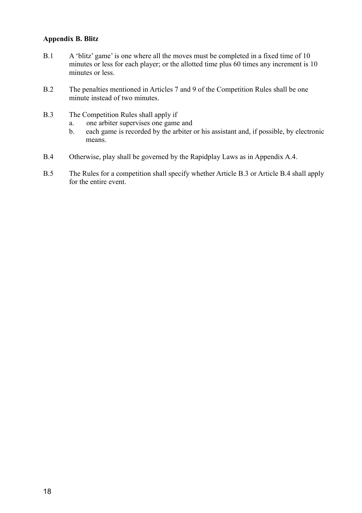#### **Appendix B. Blitz**

- B.1 A 'blitz' game' is one where all the moves must be completed in a fixed time of 10 minutes or less for each player; or the allotted time plus 60 times any increment is 10 minutes or less.
- B.2 The penalties mentioned in Articles 7 and 9 of the Competition Rules shall be one minute instead of two minutes.
- B.3 The Competition Rules shall apply if
	- a. one arbiter supervises one game and
	- b. each game is recorded by the arbiter or his assistant and, if possible, by electronic means.
- B.4 Otherwise, play shall be governed by the Rapidplay Laws as in Appendix A.4.
- B.5 The Rules for a competition shall specify whether Article B.3 or Article B.4 shall apply for the entire event.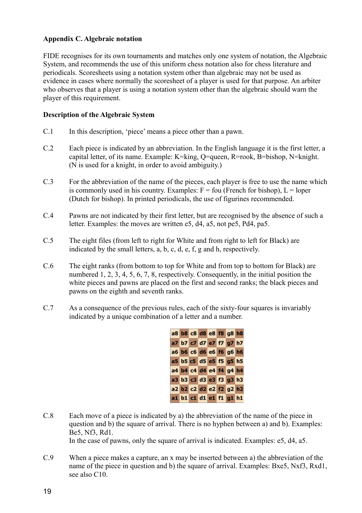# **Appendix C. Algebraic notation**

FIDE recognises for its own tournaments and matches only one system of notation, the Algebraic System, and recommends the use of this uniform chess notation also for chess literature and periodicals. Scoresheets using a notation system other than algebraic may not be used as evidence in cases where normally the scoresheet of a player is used for that purpose. An arbiter who observes that a player is using a notation system other than the algebraic should warn the player of this requirement.

# **Description of the Algebraic System**

- C.1 In this description, 'piece' means a piece other than a pawn.
- C.2 Each piece is indicated by an abbreviation. In the English language it is the first letter, a capital letter, of its name. Example: K=king, Q=queen, R=rook, B=bishop, N=knight. (N is used for a knight, in order to avoid ambiguity.)
- C.3 For the abbreviation of the name of the pieces, each player is free to use the name which is commonly used in his country. Examples:  $F = f$  (French for bishop),  $L =$  loper (Dutch for bishop). In printed periodicals, the use of figurines recommended.
- C.4 Pawns are not indicated by their first letter, but are recognised by the absence of such a letter. Examples: the moves are written e5, d4, a5, not pe5, Pd4, pa5.
- C.5 The eight files (from left to right for White and from right to left for Black) are indicated by the small letters, a, b, c, d, e, f, g and h, respectively.
- C.6 The eight ranks (from bottom to top for White and from top to bottom for Black) are numbered 1, 2, 3, 4, 5, 6, 7, 8, respectively. Consequently, in the initial position the white pieces and pawns are placed on the first and second ranks; the black pieces and pawns on the eighth and seventh ranks.
- C.7 As a consequence of the previous rules, each of the sixty-four squares is invariably indicated by a unique combination of a letter and a number.



C.8 Each move of a piece is indicated by a) the abbreviation of the name of the piece in question and b) the square of arrival. There is no hyphen between a) and b). Examples: Be5, Nf3, Rd1.

In the case of pawns, only the square of arrival is indicated. Examples: e5, d4, a5.

C.9 When a piece makes a capture, an x may be inserted between a) the abbreviation of the name of the piece in question and b) the square of arrival. Examples: Bxe5, Nxf3, Rxd1, see also C10.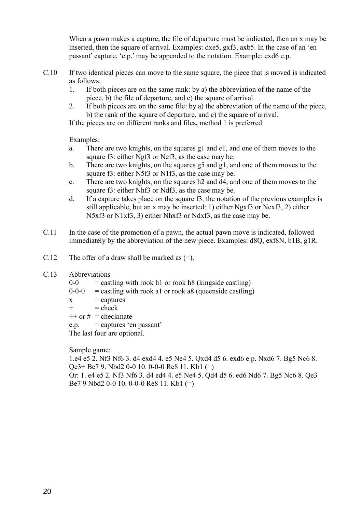When a pawn makes a capture, the file of departure must be indicated, then an x may be inserted, then the square of arrival. Examples: dxe5, gxf3, axb5. In the case of an 'en passant' capture, 'e.p.' may be appended to the notation. Example: exd6 e.p.

- C.10 If two identical pieces can move to the same square, the piece that is moved is indicated as follows:
	- 1. If both pieces are on the same rank: by a) the abbreviation of the name of the piece, b) the file of departure, and c) the square of arrival.
	- 2. If both pieces are on the same file: by a) the abbreviation of the name of the piece, b) the rank of the square of departure, and c) the square of arrival.

If the pieces are on different ranks and files**,** method 1 is preferred.

Examples:

- a. There are two knights, on the squares g1 and e1, and one of them moves to the square f3: either Ngf3 or Nef3, as the case may be.
- b. There are two knights, on the squares g5 and g1, and one of them moves to the square f3: either N5f3 or N1f3, as the case may be.
- c. There are two knights, on the squares h2 and d4, and one of them moves to the square f3: either Nhf3 or Ndf3, as the case may be.
- d. If a capture takes place on the square f3, the notation of the previous examples is still applicable, but an x may be inserted: 1) either Ngxf3 or Nexf3, 2) either N5xf3 or N1xf3, 3) either Nhxf3 or Ndxf3, as the case may be.
- C.11 In the case of the promotion of a pawn, the actual pawn move is indicated, followed immediately by the abbreviation of the new piece. Examples: d8Q, exf8N, b1B, g1R.
- C.12 The offer of a draw shall be marked as  $(=)$ .
- C.13 Abbreviations
	- $0-0$  = castling with rook h1 or rook h8 (kingside castling)
	- $0-0-0$  = castling with rook al or rook a8 (queenside castling)
	- $x =$  captures
	- $+$  = check
	- $++$  or  $#$  = checkmate
	- $e.p. =$  captures 'en passant'

The last four are optional.

Sample game:

1.e4 e5 2. Nf3 Nf6 3. d4 exd4 4. e5 Ne4 5. Qxd4 d5 6. exd6 e.p. Nxd6 7. Bg5 Nc6 8. Qe3+ Be7 9. Nbd2 0-0 10. 0-0-0 Re8 11. Kb1 (=)

Or: 1. e4 e5 2. Nf3 Nf6 3. d4 ed4 4. e5 Ne4 5. Qd4 d5 6. ed6 Nd6 7. Bg5 Nc6 8. Qe3 Be7 9 Nbd2 0-0 10. 0-0-0 Re8 11. Kb1 (=)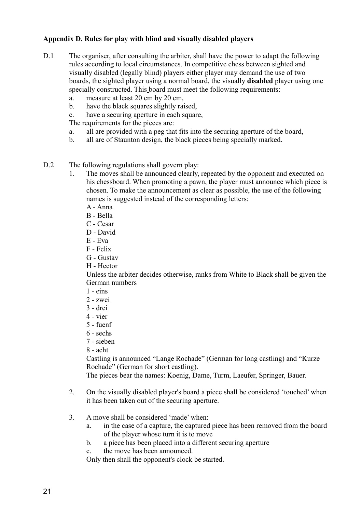# **Appendix D. Rules for play with blind and visually disabled players**

- D.1 The organiser, after consulting the arbiter, shall have the power to adapt the following rules according to local circumstances. In competitive chess between sighted and visually disabled (legally blind) players either player may demand the use of two boards, the sighted player using a normal board, the visually **disabled** player using one specially constructed. This board must meet the following requirements:
	- a. measure at least 20 cm by 20 cm,
	- b. have the black squares slightly raised,
	- c. have a securing aperture in each square,

The requirements for the pieces are:

- a. all are provided with a peg that fits into the securing aperture of the board,
- b. all are of Staunton design, the black pieces being specially marked.
- D.2 The following regulations shall govern play:
	- 1. The moves shall be announced clearly, repeated by the opponent and executed on his chessboard. When promoting a pawn, the player must announce which piece is chosen. To make the announcement as clear as possible, the use of the following names is suggested instead of the corresponding letters:
		- A Anna
		- B Bella
		- C Cesar
		- D David
		- E Eva
		- F Felix
		- G Gustav
		- H Hector

Unless the arbiter decides otherwise, ranks from White to Black shall be given the German numbers

- $1 e$ ins
- 2 zwei
- 3 drei
- 4 vier
- 5 fuenf
- 6 sechs
- 7 sieben
- 8 acht

Castling is announced "Lange Rochade" (German for long castling) and "Kurze Rochade" (German for short castling).

The pieces bear the names: Koenig, Dame, Turm, Laeufer, Springer, Bauer.

- 2. On the visually disabled player's board a piece shall be considered 'touched' when it has been taken out of the securing aperture.
- 3. A move shall be considered 'made' when:
	- a. in the case of a capture, the captured piece has been removed from the board of the player whose turn it is to move
	- b. a piece has been placed into a different securing aperture
	- c. the move has been announced.

Only then shall the opponent's clock be started.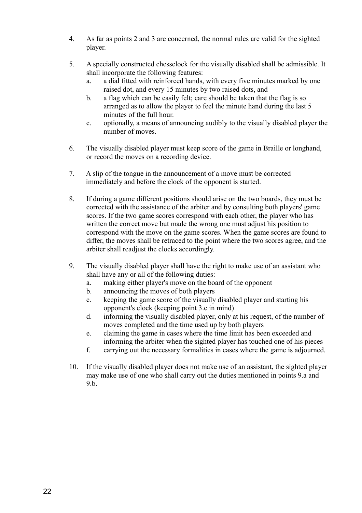- 4. As far as points 2 and 3 are concerned, the normal rules are valid for the sighted player.
- 5. A specially constructed chessclock for the visually disabled shall be admissible. It shall incorporate the following features:
	- a. a dial fitted with reinforced hands, with every five minutes marked by one raised dot, and every 15 minutes by two raised dots, and
	- b. a flag which can be easily felt; care should be taken that the flag is so arranged as to allow the player to feel the minute hand during the last 5 minutes of the full hour.
	- c. optionally, a means of announcing audibly to the visually disabled player the number of moves.
- 6. The visually disabled player must keep score of the game in Braille or longhand, or record the moves on a recording device.
- 7. A slip of the tongue in the announcement of a move must be corrected immediately and before the clock of the opponent is started.
- 8. If during a game different positions should arise on the two boards, they must be corrected with the assistance of the arbiter and by consulting both players' game scores. If the two game scores correspond with each other, the player who has written the correct move but made the wrong one must adjust his position to correspond with the move on the game scores. When the game scores are found to differ, the moves shall be retraced to the point where the two scores agree, and the arbiter shall readjust the clocks accordingly.
- 9. The visually disabled player shall have the right to make use of an assistant who shall have any or all of the following duties:
	- a. making either player's move on the board of the opponent
	- b. announcing the moves of both players
	- c. keeping the game score of the visually disabled player and starting his opponent's clock (keeping point 3.c in mind)
	- d. informing the visually disabled player, only at his request, of the number of moves completed and the time used up by both players
	- e. claiming the game in cases where the time limit has been exceeded and informing the arbiter when the sighted player has touched one of his pieces
	- f. carrying out the necessary formalities in cases where the game is adjourned.
- 10. If the visually disabled player does not make use of an assistant, the sighted player may make use of one who shall carry out the duties mentioned in points 9.a and 9.b.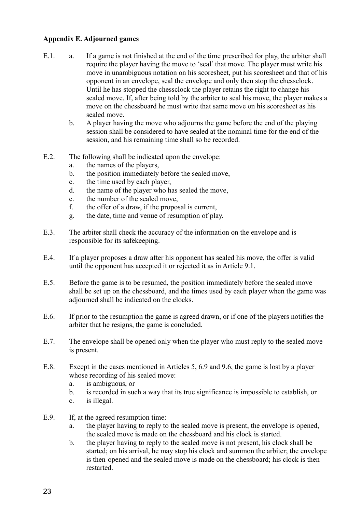# **Appendix E. Adjourned games**

- E.1. a. If a game is not finished at the end of the time prescribed for play, the arbiter shall require the player having the move to 'seal' that move. The player must write his move in unambiguous notation on his scoresheet, put his scoresheet and that of his opponent in an envelope, seal the envelope and only then stop the chessclock. Until he has stopped the chessclock the player retains the right to change his sealed move. If, after being told by the arbiter to seal his move, the player makes a move on the chessboard he must write that same move on his scoresheet as his sealed move.
	- b. A player having the move who adjourns the game before the end of the playing session shall be considered to have sealed at the nominal time for the end of the session, and his remaining time shall so be recorded.
- E.2. The following shall be indicated upon the envelope:
	- a. the names of the players,
	- b. the position immediately before the sealed move,
	- c. the time used by each player,
	- d. the name of the player who has sealed the move,
	- e. the number of the sealed move,
	- f. the offer of a draw, if the proposal is current,
	- g. the date, time and venue of resumption of play.
- E.3. The arbiter shall check the accuracy of the information on the envelope and is responsible for its safekeeping.
- E.4. If a player proposes a draw after his opponent has sealed his move, the offer is valid until the opponent has accepted it or rejected it as in Article 9.1.
- E.5. Before the game is to be resumed, the position immediately before the sealed move shall be set up on the chessboard, and the times used by each player when the game was adjourned shall be indicated on the clocks.
- E.6. If prior to the resumption the game is agreed drawn, or if one of the players notifies the arbiter that he resigns, the game is concluded.
- E.7. The envelope shall be opened only when the player who must reply to the sealed move is present.
- E.8. Except in the cases mentioned in Articles 5, 6.9 and 9.6, the game is lost by a player whose recording of his sealed move:
	- a. is ambiguous, or
	- b. is recorded in such a way that its true significance is impossible to establish, or
	- c. is illegal.
- E.9. If, at the agreed resumption time:
	- a. the player having to reply to the sealed move is present, the envelope is opened, the sealed move is made on the chessboard and his clock is started.
	- b. the player having to reply to the sealed move is not present, his clock shall be started; on his arrival, he may stop his clock and summon the arbiter; the envelope is then opened and the sealed move is made on the chessboard; his clock is then restarted.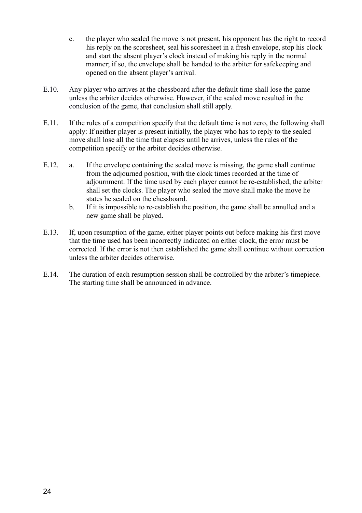- c. the player who sealed the move is not present, his opponent has the right to record his reply on the scoresheet, seal his scoresheet in a fresh envelope, stop his clock and start the absent player's clock instead of making his reply in the normal manner; if so, the envelope shall be handed to the arbiter for safekeeping and opened on the absent player's arrival.
- E.10. Any player who arrives at the chessboard after the default time shall lose the game unless the arbiter decides otherwise. However, if the sealed move resulted in the conclusion of the game, that conclusion shall still apply.
- E.11. If the rules of a competition specify that the default time is not zero, the following shall apply: If neither player is present initially, the player who has to reply to the sealed move shall lose all the time that elapses until he arrives, unless the rules of the competition specify or the arbiter decides otherwise.
- E.12. a. If the envelope containing the sealed move is missing, the game shall continue from the adjourned position, with the clock times recorded at the time of adjournment. If the time used by each player cannot be re-established, the arbiter shall set the clocks. The player who sealed the move shall make the move he states he sealed on the chessboard.
	- b. If it is impossible to re-establish the position, the game shall be annulled and a new game shall be played.
- E.13. If, upon resumption of the game, either player points out before making his first move that the time used has been incorrectly indicated on either clock, the error must be corrected. If the error is not then established the game shall continue without correction unless the arbiter decides otherwise.
- E.14. The duration of each resumption session shall be controlled by the arbiter's timepiece. The starting time shall be announced in advance.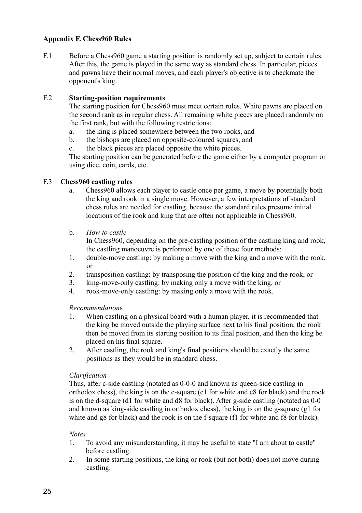# **Appendix F. Chess960 Rules**

F.1 Before a Chess960 game a starting position is randomly set up, subject to certain rules. After this, the game is played in the same way as standard chess. In particular, pieces and pawns have their normal moves, and each player's objective is to checkmate the opponent's king.

# F.2 **Starting-position requirements**

The starting position for Chess960 must meet certain rules. White pawns are placed on the second rank as in regular chess. All remaining white pieces are placed randomly on the first rank, but with the following restrictions:

- a. the king is placed somewhere between the two rooks, and
- b. the bishops are placed on opposite-coloured squares, and
- c. the black pieces are placed opposite the white pieces.

The starting position can be generated before the game either by a computer program or using dice, coin, cards, etc.

# F.3 **Chess960 castling rules**

- a. Chess960 allows each player to castle once per game, a move by potentially both the king and rook in a single move. However, a few interpretations of standard chess rules are needed for castling, because the standard rules presume initial locations of the rook and king that are often not applicable in Chess960.
- b. *How to castle*

In Chess960, depending on the pre-castling position of the castling king and rook, the castling manoeuvre is performed by one of these four methods:

- 1. double-move castling: by making a move with the king and a move with the rook, or
- 2. transposition castling: by transposing the position of the king and the rook, or
- 3. king-move-only castling: by making only a move with the king, or
- 4. rook-move-only castling: by making only a move with the rook.

# *Recommendation*s

- 1. When castling on a physical board with a human player, it is recommended that the king be moved outside the playing surface next to his final position, the rook then be moved from its starting position to its final position, and then the king be placed on his final square.
- 2. After castling, the rook and king's final positions should be exactly the same positions as they would be in standard chess.

# *Clarification*

Thus, after c-side castling (notated as 0-0-0 and known as queen-side castling in orthodox chess), the king is on the c-square (c1 for white and c8 for black) and the rook is on the d-square (d1 for white and d8 for black). After g-side castling (notated as 0-0 and known as king-side castling in orthodox chess), the king is on the g-square (g1 for white and g8 for black) and the rook is on the f-square (f1 for white and f8 for black).

# *Notes*

- 1. To avoid any misunderstanding, it may be useful to state "I am about to castle" before castling.
- 2. In some starting positions, the king or rook (but not both) does not move during castling.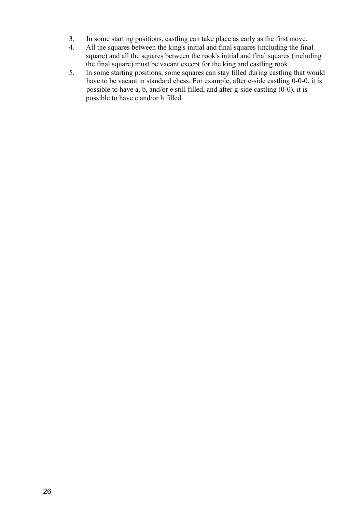- 3. In some starting positions, castling can take place as early as the first move.
- 4. All the squares between the king's initial and final squares (including the final square) and all the squares between the rook's initial and final squares (including the final square) must be vacant except for the king and castling rook.
- 5. In some starting positions, some squares can stay filled during castling that would have to be vacant in standard chess. For example, after c-side castling 0-0-0, it is possible to have a, b, and/or e still filled, and after g-side castling (0-0), it is possible to have e and/or h filled.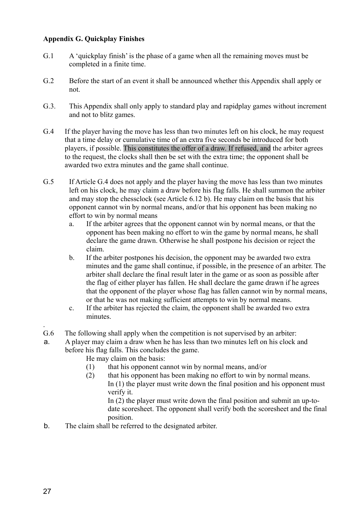# **Appendix G. Quickplay Finishes**

- G.1 A 'quickplay finish' is the phase of a game when all the remaining moves must be completed in a finite time.
- G.2 Before the start of an event it shall be announced whether this Appendix shall apply or not.
- G.3. This Appendix shall only apply to standard play and rapidplay games without increment and not to blitz games.
- G.4 If the player having the move has less than two minutes left on his clock, he may request that a time delay or cumulative time of an extra five seconds be introduced for both players, if possible. This constitutes the offer of a draw. If refused, and the arbiter agrees to the request, the clocks shall then be set with the extra time; the opponent shall be awarded two extra minutes and the game shall continue.
- G.5 If Article G.4 does not apply and the player having the move has less than two minutes left on his clock, he may claim a draw before his flag falls. He shall summon the arbiter and may stop the chessclock (see Article 6.12 b). He may claim on the basis that his opponent cannot win by normal means, and/or that his opponent has been making no effort to win by normal means
	- a. If the arbiter agrees that the opponent cannot win by normal means, or that the opponent has been making no effort to win the game by normal means, he shall declare the game drawn. Otherwise he shall postpone his decision or reject the claim.
	- b. If the arbiter postpones his decision, the opponent may be awarded two extra minutes and the game shall continue, if possible, in the presence of an arbiter. The arbiter shall declare the final result later in the game or as soon as possible after the flag of either player has fallen. He shall declare the game drawn if he agrees that the opponent of the player whose flag has fallen cannot win by normal means, or that he was not making sufficient attempts to win by normal means.
	- c. If the arbiter has rejected the claim, the opponent shall be awarded two extra minutes.
- G.6 The following shall apply when the competition is not supervised by an arbiter:
- a. A player may claim a draw when he has less than two minutes left on his clock and before his flag falls. This concludes the game.
	- He may claim on the basis:
		- (1) that his opponent cannot win by normal means, and/or
		- (2) that his opponent has been making no effort to win by normal means. In (1) the player must write down the final position and his opponent must verify it.

In (2) the player must write down the final position and submit an up-todate scoresheet. The opponent shall verify both the scoresheet and the final position.

b. The claim shall be referred to the designated arbiter.

.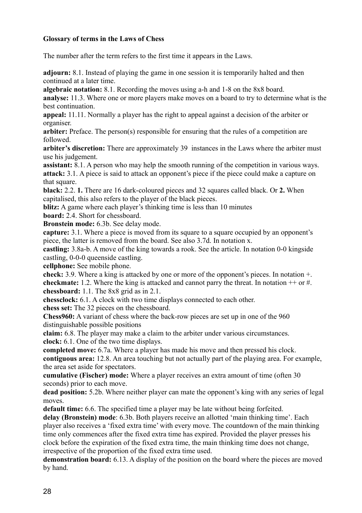# **Glossary of terms in the Laws of Chess**

The number after the term refers to the first time it appears in the Laws.

**adjourn:** 8.1. Instead of playing the game in one session it is temporarily halted and then continued at a later time.

**algebraic notation:** 8.1. Recording the moves using a-h and 1-8 on the 8x8 board.

**analyse:** 11.3. Where one or more players make moves on a board to try to determine what is the best continuation.

**appeal:** 11.11. Normally a player has the right to appeal against a decision of the arbiter or organiser.

arbiter: Preface. The person(s) responsible for ensuring that the rules of a competition are followed.

**arbiter's discretion:** There are approximately 39 instances in the Laws where the arbiter must use his judgement.

**assistant:** 8.1. A person who may help the smooth running of the competition in various ways. **attack:** 3.1. A piece is said to attack an opponent's piece if the piece could make a capture on that square.

**black:** 2.2. **1.** There are 16 dark-coloured pieces and 32 squares called black. Or **2.** When capitalised, this also refers to the player of the black pieces.

**blitz:** A game where each player's thinking time is less than 10 minutes

**board:** 2.4. Short for chessboard.

**Bronstein mode:** 6.3b. See delay mode.

**capture:** 3.1. Where a piece is moved from its square to a square occupied by an opponent's piece, the latter is removed from the board. See also 3.7d. In notation x.

**castling:** 3.8a-b. A move of the king towards a rook. See the article. In notation 0-0 kingside castling, 0-0-0 queenside castling.

**cellphone:** See mobile phone.

**check:** 3.9. Where a king is attacked by one or more of the opponent's pieces. In notation +. **checkmate:** 1.2. Where the king is attacked and cannot parry the threat. In notation ++ or #. **chessboard:** 1.1. The 8x8 grid as in 2.1.

**chessclock:** 6.1. A clock with two time displays connected to each other.

**chess set:** The 32 pieces on the chessboard.

**Chess960:** A variant of chess where the back-row pieces are set up in one of the 960 distinguishable possible positions

**claim:** 6.8. The player may make a claim to the arbiter under various circumstances. **clock:** 6.1. One of the two time displays.

**completed move:** 6.7a. Where a player has made his move and then pressed his clock.

**contiguous area:** 12.8. An area touching but not actually part of the playing area. For example, the area set aside for spectators.

**cumulative (Fischer) mode:** Where a player receives an extra amount of time (often 30 seconds) prior to each move.

**dead position:** 5.2b. Where neither player can mate the opponent's king with any series of legal moves.

**default time:** 6.6. The specified time a player may be late without being forfeited.

**delay (Bronstein) mode**: 6.3b. Both players receive an allotted 'main thinking time'. Each player also receives a 'fixed extra time' with every move. The countdown of the main thinking time only commences after the fixed extra time has expired. Provided the player presses his clock before the expiration of the fixed extra time, the main thinking time does not change, irrespective of the proportion of the fixed extra time used.

**demonstration board:** 6.13. A display of the position on the board where the pieces are moved by hand.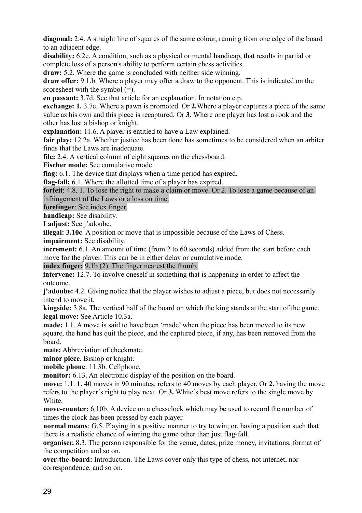**diagonal:** 2.4. A straight line of squares of the same colour, running from one edge of the board to an adjacent edge.

**disability:** 6.2e. A condition, such as a physical or mental handicap, that results in partial or complete loss of a person's ability to perform certain chess activities.

**draw:** 5.2. Where the game is concluded with neither side winning.

**draw offer:** 9.1.b. Where a player may offer a draw to the opponent. This is indicated on the scoresheet with the symbol (=).

**en passant:** 3.7d. See that article for an explanation. In notation e.p.

**exchange: 1.** 3.7e. Where a pawn is promoted. Or **2.**Where a player captures a piece of the same value as his own and this piece is recaptured. Or **3.** Where one player has lost a rook and the other has lost a bishop or knight.

**explanation:** 11.6. A player is entitled to have a Law explained.

**fair play:** 12.2a. Whether justice has been done has sometimes to be considered when an arbiter finds that the Laws are inadequate.

**file:** 2.4. A vertical column of eight squares on the chessboard.

**Fischer mode:** See cumulative mode.

**flag:** 6.1. The device that displays when a time period has expired.

**flag-fall:** 6.1. Where the allotted time of a player has expired.

**forfeit**: 4.8. 1. To lose the right to make a claim or move. Or 2. To lose a game because of an infringement of the Laws or a loss on time.

**forefinger**: See index finger.

**handicap:** See disability.

**I adjust:** See j'adoube.

**illegal: 3.10c**. A position or move that is impossible because of the Laws of Chess.

**impairment:** See disability.

**increment:** 6.1. An amount of time (from 2 to 60 seconds) added from the start before each move for the player. This can be in either delay or cumulative mode.

**index finger:** 9.1b (2). The finger nearest the thumb.

**intervene:** 12.7. To involve oneself in something that is happening in order to affect the outcome.

**j'adoube:** 4.2. Giving notice that the player wishes to adjust a piece, but does not necessarily intend to move it.

**kingside:** 3.8a. The vertical half of the board on which the king stands at the start of the game. **legal move:** See Article 10.3a.

**made:** 1.1. A move is said to have been 'made' when the piece has been moved to its new square, the hand has quit the piece, and the captured piece, if any, has been removed from the board.

**mate:** Abbreviation of checkmate.

**minor piece.** Bishop or knight.

**mobile phone**: 11.3b. Cellphone.

**monitor:** 6.13. An electronic display of the position on the board.

**move:** 1.1. **1.** 40 moves in 90 minutes, refers to 40 moves by each player. Or **2.** having the move refers to the player's right to play next. Or **3.** White's best move refers to the single move by **White** 

**move-counter:** 6.10b. A device on a chessclock which may be used to record the number of times the clock has been pressed by each player.

**normal means**: G.5. Playing in a positive manner to try to win; or, having a position such that there is a realistic chance of winning the game other than just flag-fall.

**organiser.** 8.3. The person responsible for the venue, dates, prize money, invitations, format of the competition and so on.

**over-the-board:** Introduction. The Laws cover only this type of chess, not internet, nor correspondence, and so on.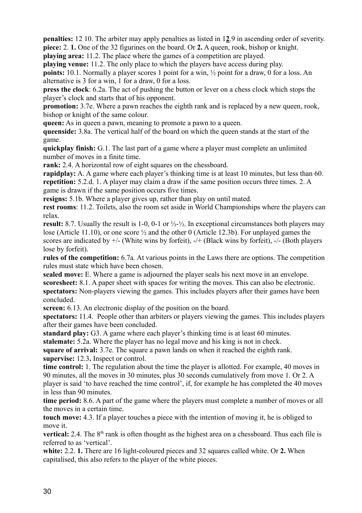**penalties:** 12.10. The arbiter may apply penalties as listed in 1**2**.9 in ascending order of severity. **piece:** 2. **1.** One of the 32 figurines on the board. Or **2.** A queen, rook, bishop or knight.

**playing area:** 11.2. The place where the games of a competition are played.

**playing venue:** 11.2. The only place to which the players have access during play.

**points:** 10.1. Normally a player scores 1 point for a win,  $\frac{1}{2}$  point for a draw, 0 for a loss. An alternative is 3 for a win, 1 for a draw, 0 for a loss.

**press the clock**: 6.2a. The act of pushing the button or lever on a chess clock which stops the player's clock and starts that of his opponent.

**promotion:** 3.7e. Where a pawn reaches the eighth rank and is replaced by a new queen, rook, bishop or knight of the same colour.

**queen:** As in queen a pawn, meaning to promote a pawn to a queen.

**queenside:** 3.8a. The vertical half of the board on which the queen stands at the start of the game.

**quickplay finish:** G.1. The last part of a game where a player must complete an unlimited number of moves in a finite time.

**rank:** 2.4. A horizontal row of eight squares on the chessboard.

**rapidplay:** A. A game where each player's thinking time is at least 10 minutes, but less than 60. **repetition:** 5.2.d. 1. A player may claim a draw if the same position occurs three times. 2. A game is drawn if the same position occurs five times.

**resigns:** 5.1b. Where a player gives up, rather than play on until mated.

**rest rooms**: 11.2. Toilets, also the room set aside in World Championships where the players can relax.

**result:** 8.7. Usually the result is 1-0, 0-1 or  $\frac{1}{2}$ - $\frac{1}{2}$ . In exceptional circumstances both players may lose (Article 11.10), or one score ½ and the other 0 (Article 12.3b). For unplayed games the scores are indicated by +/- (White wins by forfeit), -/+ (Black wins by forfeit), -/- (Both players lose by forfeit).

**rules of the competition:** 6.7a. At various points in the Laws there are options. The competition rules must state which have been chosen.

sealed move: E. Where a game is adjourned the player seals his next move in an envelope. **scoresheet:** 8.1. A paper sheet with spaces for writing the moves. This can also be electronic. **spectators:** Non-players viewing the games. This includes players after their games have been concluded.

**screen:** 6.13. An electronic display of the position on the board.

**spectators:** 11.4.People other than arbiters or players viewing the games. This includes players after their games have been concluded.

**standard play:** G3. A game where each player's thinking time is at least 60 minutes.

**stalemate:** 5.2a. Where the player has no legal move and his king is not in check.

**square of arrival:** 3.7e. The square a pawn lands on when it reached the eighth rank. **supervise:** 12.3**.** Inspect or control.

**time control:** 1. The regulation about the time the player is allotted. For example, 40 moves in 90 minutes, all the moves in 30 minutes, plus 30 seconds cumulatively from move 1. Or 2. A player is said 'to have reached the time control', if, for example he has completed the 40 moves in less than 90 minutes.

**time period:** 8.6. A part of the game where the players must complete a number of moves or all the moves in a certain time.

**touch move:** 4.3. If a player touches a piece with the intention of moving it, he is obliged to move it.

**vertical:** 2.4. The 8<sup>th</sup> rank is often thought as the highest area on a chessboard. Thus each file is referred to as 'vertical'.

**white:** 2.2. **1.** There are 16 light-coloured pieces and 32 squares called white. Or **2.** When capitalised, this also refers to the player of the white pieces.